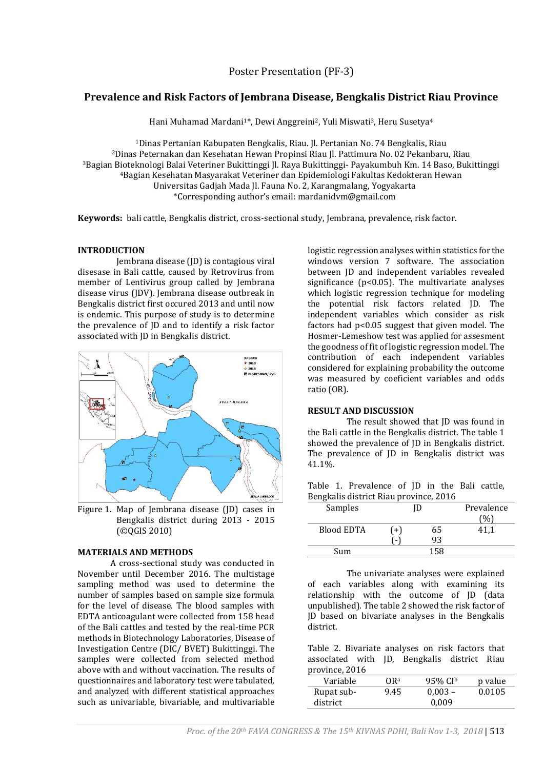# **Prevalence and Risk Factors of Jembrana Disease, Bengkalis District Riau Province**

Hani Muhamad Mardani<sup>1\*</sup>, Dewi Anggreini<sup>2</sup>, Yuli Miswati<sup>3</sup>, Heru Susetya<sup>4</sup>

Dinas Pertanian Kabupaten Bengkalis, Riau. Jl. Pertanian No. 74 Bengkalis, Riau Dinas Peternakan dan Kesehatan Hewan Propinsi Riau Jl. Pattimura No. 02 Pekanbaru, Riau Bagian Bioteknologi Balai Veteriner Bukittinggi Jl. Raya Bukittinggi- Payakumbuh Km. 14 Baso, Bukittinggi Bagian Kesehatan Masyarakat Veteriner dan Epidemiologi Fakultas Kedokteran Hewan Universitas Gadjah Mada Jl. Fauna No. 2, Karangmalang, Yogyakarta \*Corresponding author's email[: mardanidvm@gmail.com](mailto:mardanidvm@gmail.com)

**Keywords:** bali cattle, Bengkalis district, cross-sectional study, Jembrana, prevalence, risk factor.

### **INTRODUCTION**

Jembrana disease (JD) is contagious viral disesase in Bali cattle, caused by Retrovirus from member of Lentivirus group called by Jembrana disease virus (JDV). Jembrana disease outbreak in Bengkalis district first occured 2013 and until now is endemic. This purpose of study is to determine the prevalence of JD and to identify a risk factor associated with JD in Bengkalis district.



Figure 1. Map of Jembrana disease (JD) cases in Bengkalis district during 2013 - 2015 (©QGIS 2010)

## **MATERIALS AND METHODS**

A cross-sectional study was conducted in November until December 2016. The multistage sampling method was used to determine the number of samples based on sample size formula for the level of disease. The blood samples with EDTA anticoagulant were collected from 158 head of the Bali cattles and tested by the real-time PCR methods in Biotechnology Laboratories, Disease of Investigation Centre (DIC/ BVET) Bukittinggi. The samples were collected from selected method above with and without vaccination. The results of questionnaires and laboratory test were tabulated, and analyzed with different statistical approaches such as univariable, bivariable, and multivariable

logistic regression analyses within statistics for the windows version 7 software. The association between JD and independent variables revealed significance ( $p$ <0.05). The multivariate analyses which logistic regression technique for modeling the potential risk factors related JD. The independent variables which consider as risk factors had p<0.05 suggest that given model. The Hosmer-Lemeshow test was applied for assesment the goodness of fit of logistic regression model. The contribution of each independent variables considered for explaining probability the outcome was measured by coeficient variables and odds ratio (OR).

# **RESULT AND DISCUSSION**

The result showed that JD was found in the Bali cattle in the Bengkalis district. The table 1 showed the prevalence of JD in Bengkalis district. The prevalence of JD in Bengkalis district was 41.1%.

|  | Table 1. Prevalence of JD in the Bali cattle, |  |  |  |
|--|-----------------------------------------------|--|--|--|
|  | Bengkalis district Riau province, 2016        |  |  |  |

| Samples           |     |     | Prevalence |  |
|-------------------|-----|-----|------------|--|
|                   |     |     |            |  |
| <b>Blood EDTA</b> | $+$ | 65  | 41.1       |  |
|                   | ۱.  | 93  |            |  |
| Sum               |     | 158 |            |  |

The univariate analyses were explained of each variables along with examining its relationship with the outcome of JD (data unpublished). The table 2 showed the risk factor of JD based on bivariate analyses in the Bengkalis district.

Table 2. Bivariate analyses on risk factors that associated with JD, Bengkalis district Riau province, 2016

| Variable   | OR <sup>a</sup> | 95% CIb   | p value |
|------------|-----------------|-----------|---------|
| Rupat sub- | 9.45            | $0,003 -$ | 0.0105  |
| district   |                 | 0.009     |         |
|            |                 |           |         |